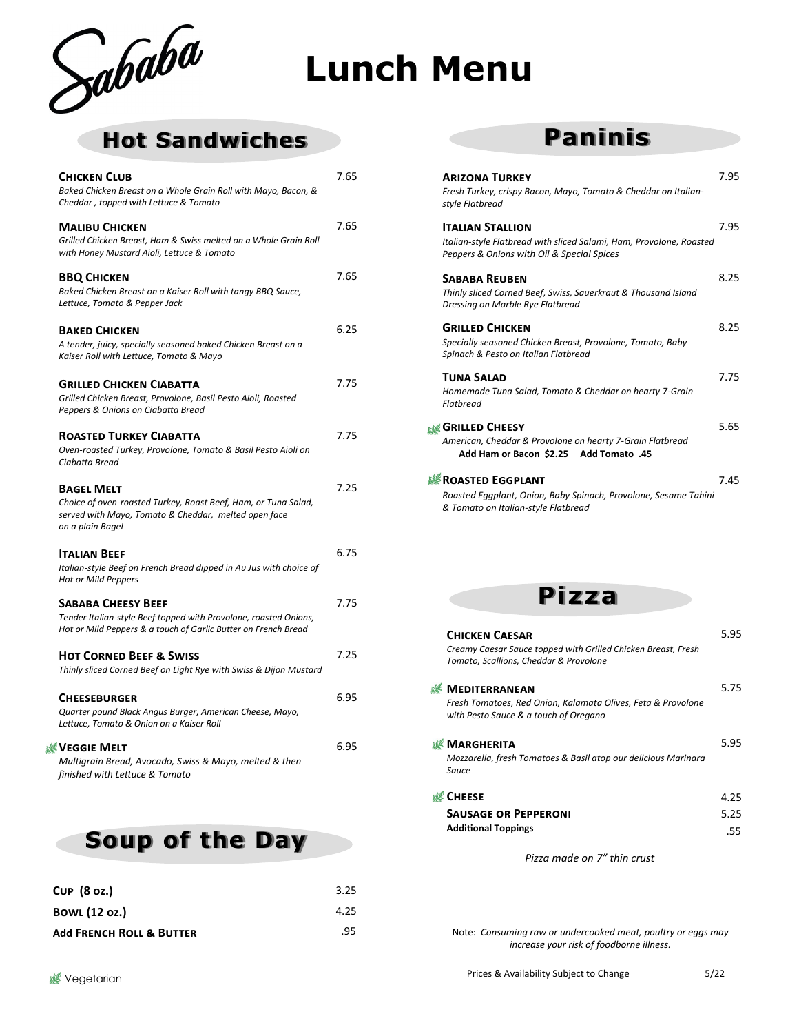

# **Lunch Menu**

## **Hot Sandwiches**

| <b>CHICKEN CLUB</b><br>Baked Chicken Breast on a Whole Grain Roll with Mayo, Bacon, &<br>Cheddar, topped with Lettuce & Tomato                                  | 7.65 |
|-----------------------------------------------------------------------------------------------------------------------------------------------------------------|------|
| <b>MALIBU CHICKEN</b><br>Grilled Chicken Breast, Ham & Swiss melted on a Whole Grain Roll<br>with Honey Mustard Aioli, Lettuce & Tomato                         | 7.65 |
| <b>BBQ CHICKEN</b><br>Baked Chicken Breast on a Kaiser Roll with tangy BBQ Sauce,<br>Lettuce, Tomato & Pepper Jack                                              | 7.65 |
| <b>BAKED CHICKEN</b><br>A tender, juicy, specially seasoned baked Chicken Breast on a<br>Kaiser Roll with Lettuce, Tomato & Mayo                                | 6.25 |
| <b>GRILLED CHICKEN CIABATTA</b><br>Grilled Chicken Breast, Provolone, Basil Pesto Aioli, Roasted<br>Peppers & Onions on Ciabatta Bread                          | 7.75 |
| <b>ROASTED TURKEY CIABATTA</b><br>Oven-roasted Turkey, Provolone, Tomato & Basil Pesto Aioli on<br>Ciabatta Bread                                               | 7.75 |
| <b>BAGEL MELT</b><br>Choice of oven-roasted Turkey, Roast Beef, Ham, or Tuna Salad,<br>served with Mayo, Tomato & Cheddar, melted open face<br>on a plain Bagel | 7.25 |
| <b>ITALIAN BEEF</b><br>Italian-style Beef on French Bread dipped in Au Jus with choice of<br><b>Hot or Mild Peppers</b>                                         | 6.75 |
| <b>SABABA CHEESY BEEF</b><br>Tender Italian-style Beef topped with Provolone, roasted Onions,<br>Hot or Mild Peppers & a touch of Garlic Butter on French Bread | 7.75 |
| <b>HOT CORNED BEEF &amp; SWISS</b><br>Thinly sliced Corned Beef on Light Rye with Swiss & Dijon Mustard                                                         | 7.25 |
| <b>CHEESEBURGER</b><br>Quarter pound Black Angus Burger, American Cheese, Mayo,<br>Lettuce, Tomato & Onion on a Kaiser Roll                                     | 6.95 |
| VEGGIE MELT لَأَبْدِ<br>Multigrain Bread, Avocado, Swiss & Mayo, melted & then<br>finished with Lettuce & Tomato                                                | 6.95 |
|                                                                                                                                                                 |      |

**Soup of the Day**

| $CUP$ $(8 oz.)$                     | 3.25 |
|-------------------------------------|------|
| <b>BOWL (12 oz.)</b>                | 4.25 |
| <b>Add FRENCH ROLL &amp; BUTTER</b> | .95  |

## **Paninis**

| <b>ARIZONA TURKEY</b>                                                                                  | 7.95 |
|--------------------------------------------------------------------------------------------------------|------|
| Fresh Turkey, crispy Bacon, Mayo, Tomato & Cheddar on Italian-<br>style Flatbread                      |      |
| <b>ITALIAN STALLION</b><br>Italian-style Flatbread with sliced Salami, Ham, Provolone, Roasted         | 7.95 |
| Peppers & Onions with Oil & Special Spices                                                             |      |
| <b>SABABA REUBEN</b>                                                                                   | 8.25 |
| Thinly sliced Corned Beef, Swiss, Sauerkraut & Thousand Island<br>Dressing on Marble Rye Flatbread     |      |
| <b>GRILLED CHICKEN</b>                                                                                 | 8.25 |
| Specially seasoned Chicken Breast, Provolone, Tomato, Baby<br>Spinach & Pesto on Italian Flatbread     |      |
| TUNA SALAD                                                                                             | 7.75 |
| Homemade Tuna Salad, Tomato & Cheddar on hearty 7-Grain<br>Flatbread                                   |      |
| <b>NG GRILLED CHEESY</b>                                                                               | 5.65 |
| American, Cheddar & Provolone on hearty 7-Grain Flatbread<br>45. Add Ham or Bacon \$2.25 Add Tomato    |      |
| <b>SE ROASTED EGGPLANT</b>                                                                             | 7.45 |
| Roasted Eggplant, Onion, Baby Spinach, Provolone, Sesame Tahini<br>& Tomato on Italian-style Flatbread |      |



| <b>CHICKEN CAESAR</b><br>Creamy Caesar Sauce topped with Grilled Chicken Breast, Fresh<br>Tomato, Scallions, Cheddar & Provolone | 5.95 |
|----------------------------------------------------------------------------------------------------------------------------------|------|
| <b>MEDITERRANEAN</b>                                                                                                             | 5.75 |
| Fresh Tomatoes, Red Onion, Kalamata Olives, Feta & Provolone<br>with Pesto Sauce & a touch of Oregano                            |      |
| <b>MARGHERITA</b>                                                                                                                | 5.95 |
| Mozzarella, fresh Tomatoes & Basil atop our delicious Marinara<br>Sauce                                                          |      |
| <b>CHEESE</b>                                                                                                                    | 4.25 |
| <b>SAUSAGE OR PEPPERONI</b>                                                                                                      | 5.25 |
| <b>Additional Toppings</b>                                                                                                       | .55  |
| Pizza made on 7" thin crust                                                                                                      |      |

Note: *Consuming raw or undercooked meat, poultry or eggs may increase your risk of foodborne illness.*